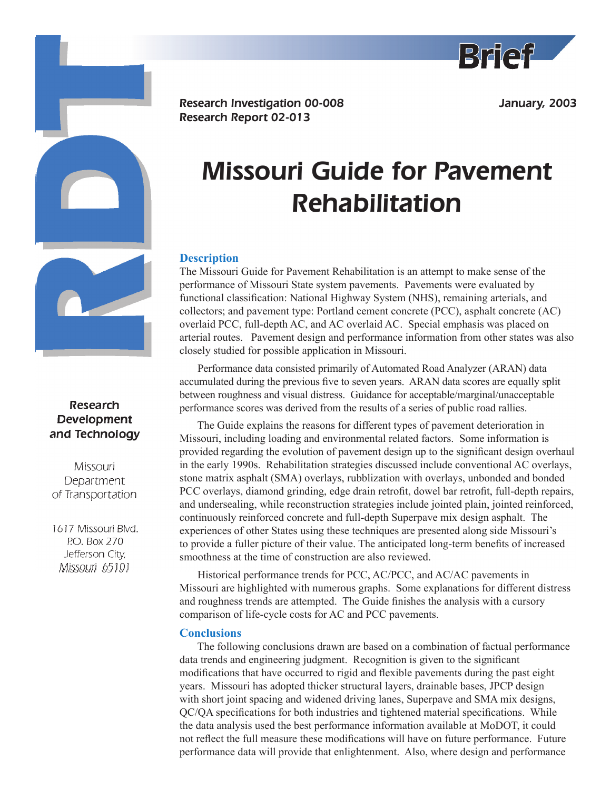

January, 2003

# **Research** Development and Technology

Missouri Department of Transportation

1617 Missouri Blvd. P.O. Box 270 Jefferson City, Missouri 65101

Research Investigation 00-008 Research Report 02-013

# Missouri Guide for Pavement Rehabilitation

# **Description**

The Missouri Guide for Pavement Rehabilitation is an attempt to make sense of the performance of Missouri State system pavements. Pavements were evaluated by functional classification: National Highway System (NHS), remaining arterials, and collectors; and pavement type: Portland cement concrete (PCC), asphalt concrete (AC) overlaid PCC, full-depth AC, and AC overlaid AC. Special emphasis was placed on arterial routes. Pavement design and performance information from other states was also closely studied for possible application in Missouri.

Performance data consisted primarily of Automated Road Analyzer (ARAN) data accumulated during the previous five to seven years. ARAN data scores are equally split between roughness and visual distress. Guidance for acceptable/marginal/unacceptable performance scores was derived from the results of a series of public road rallies.

The Guide explains the reasons for different types of pavement deterioration in Missouri, including loading and environmental related factors. Some information is provided regarding the evolution of pavement design up to the significant design overhaul in the early 1990s. Rehabilitation strategies discussed include conventional AC overlays, stone matrix asphalt (SMA) overlays, rubblization with overlays, unbonded and bonded PCC overlays, diamond grinding, edge drain retrofit, dowel bar retrofit, full-depth repairs, and undersealing, while reconstruction strategies include jointed plain, jointed reinforced, continuously reinforced concrete and full-depth Superpave mix design asphalt. The experiences of other States using these techniques are presented along side Missouri's to provide a fuller picture of their value. The anticipated long-term benefits of increased smoothness at the time of construction are also reviewed.

Historical performance trends for PCC, AC/PCC, and AC/AC pavements in Missouri are highlighted with numerous graphs. Some explanations for different distress and roughness trends are attempted. The Guide finishes the analysis with a cursory comparison of life-cycle costs for AC and PCC pavements.

## **Conclusions**

The following conclusions drawn are based on a combination of factual performance data trends and engineering judgment. Recognition is given to the significant modifications that have occurred to rigid and flexible pavements during the past eight years. Missouri has adopted thicker structural layers, drainable bases, JPCP design with short joint spacing and widened driving lanes, Superpave and SMA mix designs, QC/QA specifications for both industries and tightened material specifications. While the data analysis used the best performance information available at MoDOT, it could not reflect the full measure these modifications will have on future performance. Future performance data will provide that enlightenment. Also, where design and performance